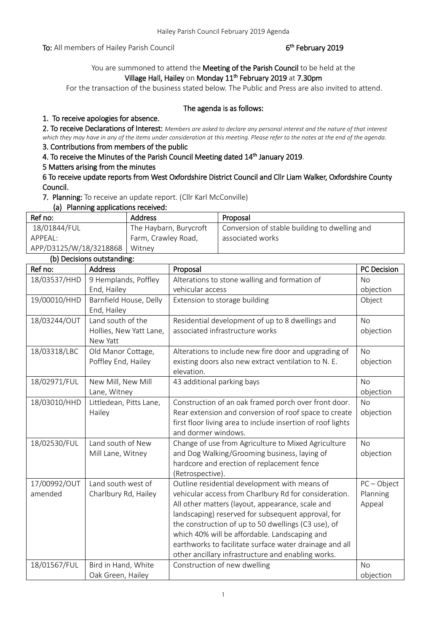To: All members of Hailey Parish Council

# <sup>th</sup> February 2019

# You are summoned to attend the Meeting of the Parish Council to be held at the Village Hall, Hailey on Monday 11<sup>th</sup> February 2019 at 7.30pm

For the transaction of the business stated below. The Public and Press are also invited to attend.

## The agenda is as follows:

## 1. To receive apologies for absence.

2. To receive Declarations of Interest: *Members are asked to declare any personal interest and the nature of that interest which they may have in any of the items under consideration at this meeting. Please refer to the notes at the end of the agenda.*

# 3. Contributions from members of the public

4. To receive the Minutes of the Parish Council Meeting dated 14<sup>th</sup> January 2019.

### 5 Matters arising from the minutes

6 To receive update reports from West Oxfordshire District Council and Cllr Liam Walker, Oxfordshire County Council.

7. Planning: To receive an update report. (Cllr Karl McConville)

#### (a) Planning applications received:

| Ref no:                | <b>Address</b>         | Proposal                                      |  |  |
|------------------------|------------------------|-----------------------------------------------|--|--|
| 18/01844/FUL           | The Haybarn, Burycroft | Conversion of stable building to dwelling and |  |  |
| APPEAL:                | Farm, Crawley Road,    | associated works                              |  |  |
| APP/D3125/W/18/3218868 | Witney                 |                                               |  |  |

### (b) Decisions outstanding:

|              | in because and community. |                                                             |               |
|--------------|---------------------------|-------------------------------------------------------------|---------------|
| Ref no:      | Address                   | Proposal                                                    | PC Decision   |
| 18/03537/HHD | 9 Hemplands, Poffley      | Alterations to stone walling and formation of               | <b>No</b>     |
|              | End, Hailey               | vehicular access                                            | objection     |
| 19/00010/HHD | Barnfield House, Delly    | Extension to storage building                               | Object        |
|              | End, Hailey               |                                                             |               |
| 18/03244/OUT | Land south of the         | Residential development of up to 8 dwellings and            | <b>No</b>     |
|              | Hollies, New Yatt Lane,   | associated infrastructure works                             | objection     |
|              | New Yatt                  |                                                             |               |
| 18/03318/LBC | Old Manor Cottage,        | Alterations to include new fire door and upgrading of       | No            |
|              | Poffley End, Hailey       | existing doors also new extract ventilation to N. E.        | objection     |
|              |                           | elevation.                                                  |               |
| 18/02971/FUL | New Mill, New Mill        | 43 additional parking bays                                  | <b>No</b>     |
|              | Lane, Witney              |                                                             | objection     |
| 18/03010/HHD | Littledean, Pitts Lane,   | Construction of an oak framed porch over front door.        | <b>No</b>     |
|              | Hailey                    | Rear extension and conversion of roof space to create       | objection     |
|              |                           | first floor living area to include insertion of roof lights |               |
|              |                           | and dormer windows.                                         |               |
| 18/02530/FUL | Land south of New         | Change of use from Agriculture to Mixed Agriculture         | <b>No</b>     |
|              | Mill Lane, Witney         | and Dog Walking/Grooming business, laying of                | objection     |
|              |                           | hardcore and erection of replacement fence                  |               |
|              |                           | (Retrospective).                                            |               |
| 17/00992/OUT | Land south west of        | Outline residential development with means of               | $PC - Object$ |
| amended      | Charlbury Rd, Hailey      | vehicular access from Charlbury Rd for consideration.       | Planning      |
|              |                           | All other matters (layout, appearance, scale and            | Appeal        |
|              |                           | landscaping) reserved for subsequent approval, for          |               |
|              |                           | the construction of up to 50 dwellings (C3 use), of         |               |
|              |                           | which 40% will be affordable. Landscaping and               |               |
|              |                           | earthworks to facilitate surface water drainage and all     |               |
|              |                           | other ancillary infrastructure and enabling works.          |               |
| 18/01567/FUL | Bird in Hand, White       | Construction of new dwelling                                | <b>No</b>     |
|              | Oak Green, Hailey         |                                                             | objection     |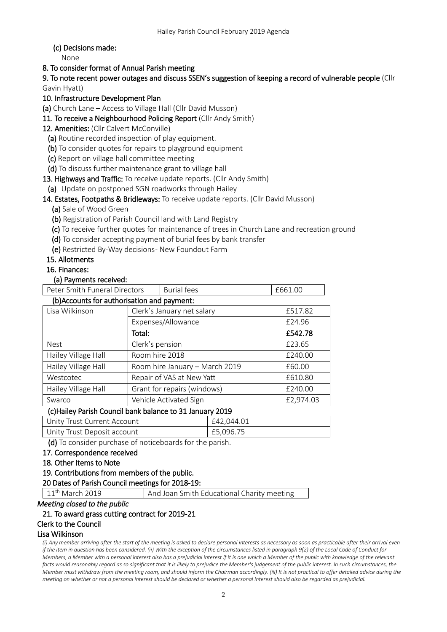## (c) Decisions made:

None

## 8. To consider format of Annual Parish meeting

9. To note recent power outages and discuss SSEN's suggestion of keeping a record of vulnerable people (Cllr Gavin Hyatt)

# 10. Infrastructure Development Plan

(a) Church Lane – Access to Village Hall (Cllr David Musson)

- 11. To receive a Neighbourhood Policing Report (Cllr Andy Smith)
- 12. Amenities: (Cllr Calvert McConville)
	- (a) Routine recorded inspection of play equipment.
	- (b) To consider quotes for repairs to playground equipment
	- (c) Report on village hall committee meeting
	- (d) To discuss further maintenance grant to village hall
- 13. Highways and Traffic: To receive update reports. (Cllr Andy Smith)
- (a) Update on postponed SGN roadworks through Hailey

## 14. Estates, Footpaths & Bridleways: To receive update reports. (Cllr David Musson)

(a) Sale of Wood Green

- (b) Registration of Parish Council land with Land Registry
- (c) To receive further quotes for maintenance of trees in Church Lane and recreation ground
- (d) To consider accepting payment of burial fees by bank transfer
- (e) Restricted By-Way decisions- New Foundout Farm

## 15. Allotments

#### 16. Finances:

### (a) Payments received:

| Peter Smith Funeral Directors               |                                | <b>Burial fees</b> | £661.00   |         |  |
|---------------------------------------------|--------------------------------|--------------------|-----------|---------|--|
| (b) Accounts for authorisation and payment: |                                |                    |           |         |  |
| Lisa Wilkinson                              | Clerk's January net salary     |                    | £517.82   |         |  |
|                                             | Expenses/Allowance             |                    |           | £24.96  |  |
|                                             | Total:                         |                    |           | £542.78 |  |
| <b>Nest</b>                                 | Clerk's pension                |                    |           | £23.65  |  |
| Hailey Village Hall                         | Room hire 2018                 |                    | £240.00   |         |  |
| Hailey Village Hall                         | Room hire January - March 2019 |                    | £60.00    |         |  |
| Westcotec                                   | Repair of VAS at New Yatt      |                    | £610.80   |         |  |
| Hailey Village Hall                         | Grant for repairs (windows)    |                    | £240.00   |         |  |
| Swarco                                      | Vehicle Activated Sign         |                    | £2,974.03 |         |  |

## (c)Hailey Parish Council bank balance to 31 January 2019

| Unity Trust Current Account | £42.044.01 |
|-----------------------------|------------|
| Unity Trust Deposit account | £5.096.75  |

(d) To consider purchase of noticeboards for the parish.

#### 17. Correspondence received

- 18. Other Items to Note
- 19. Contributions from members of the public.

# 20 Dates of Parish Council meetings for 2018-19:

11<sup>th</sup> March 2019 **And Joan Smith Educational Charity meeting** 

#### *Meeting closed to the public*

# 21. To award grass cutting contract for 2019-21

#### Clerk to the Council

#### Lisa Wilkinson

*(i) Any member arriving after the start of the meeting is asked to declare personal interests as necessary as soon as practicable after their arrival even if the item in question has been considered. (ii) With the exception of the circumstances listed in paragraph 9(2) of the Local Code of Conduct for Members, a Member with a personal interest also has a prejudicial interest if it is one which a Member of the public with knowledge of the relevant facts would reasonably regard as so significant that it is likely to prejudice the Member's judgement of the public interest. In such circumstances, the Member must withdraw from the meeting room, and should inform the Chairman accordingly. (iii) It is not practical to offer detailed advice during the meeting on whether or not a personal interest should be declared or whether a personal interest should also be regarded as prejudicial.*